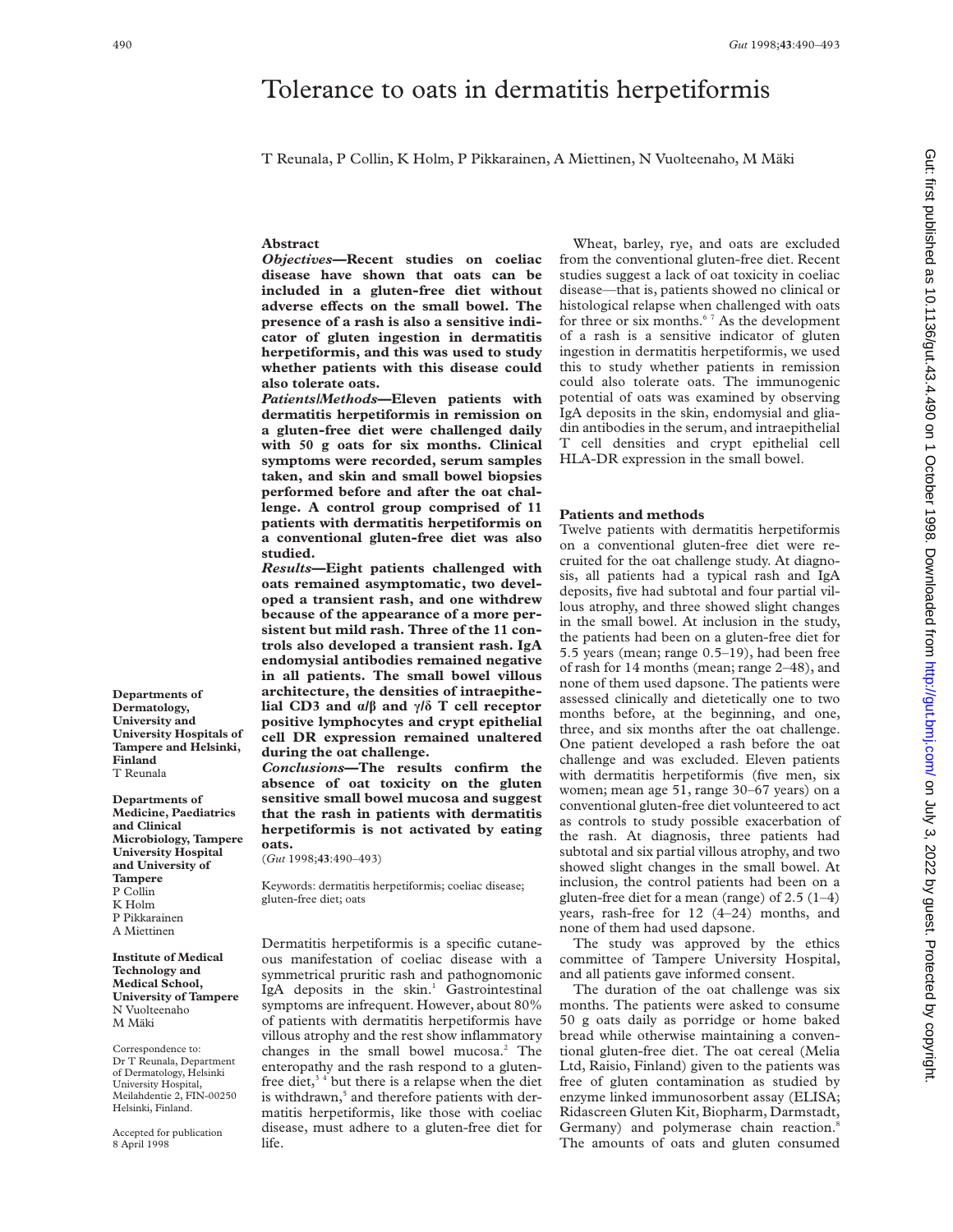# Tolerance to oats in dermatitis herpetiformis

T Reunala, P Collin, K Holm, P Pikkarainen, A Miettinen, N Vuolteenaho, M Mäki

## **Abstract**

*Objectives***—Recent studies on coeliac disease have shown that oats can be included in a gluten-free diet without** adverse effects on the small bowel. The **presence of a rash is also a sensitive indicator of gluten ingestion in dermatitis herpetiformis, and this was used to study whether patients with this disease could also tolerate oats.**

*Patients/Methods***—Eleven patients with dermatitis herpetiformis in remission on a gluten-free diet were challenged daily with 50 g oats for six months. Clinical symptoms were recorded, serum samples taken, and skin and small bowel biopsies performed before and after the oat challenge. A control group comprised of 11 patients with dermatitis herpetiformis on a conventional gluten-free diet was also studied.**

*Results***—Eight patients challenged with oats remained asymptomatic, two developed a transient rash, and one withdrew because of the appearance of a more persistent but mild rash. Three of the 11 controls also developed a transient rash. IgA endomysial antibodies remained negative in all patients. The small bowel villous architecture, the densities of intraepithelial CD3 and á/â and ã/ä T cell receptor positive lymphocytes and crypt epithelial cell DR expression remained unaltered during the oat challenge.**

*Conclusions***—The results confirm the absence of oat toxicity on the gluten sensitive small bowel mucosa and suggest that the rash in patients with dermatitis herpetiformis is not activated by eating oats.**

(*Gut* 1998;**43**:490–493)

Keywords: dermatitis herpetiformis; coeliac disease; gluten-free diet; oats

Dermatitis herpetiformis is a specific cutaneous manifestation of coeliac disease with a symmetrical pruritic rash and pathognomonic IgA deposits in the skin.<sup>1</sup> Gastrointestinal symptoms are infrequent. However, about 80% of patients with dermatitis herpetiformis have villous atrophy and the rest show inflammatory changes in the small bowel mucosa.<sup>2</sup> The enteropathy and the rash respond to a glutenfree diet,<sup>34</sup> but there is a relapse when the diet is withdrawn,<sup>5</sup> and therefore patients with dermatitis herpetiformis, like those with coeliac disease, must adhere to a gluten-free diet for life.

Wheat, barley, rye, and oats are excluded from the conventional gluten-free diet. Recent studies suggest a lack of oat toxicity in coeliac disease—that is, patients showed no clinical or histological relapse when challenged with oats for three or six months.<sup>67</sup> As the development of a rash is a sensitive indicator of gluten ingestion in dermatitis herpetiformis, we used this to study whether patients in remission could also tolerate oats. The immunogenic potential of oats was examined by observing IgA deposits in the skin, endomysial and gliadin antibodies in the serum, and intraepithelial T cell densities and crypt epithelial cell HLA-DR expression in the small bowel.

## **Patients and methods**

Twelve patients with dermatitis herpetiformis on a conventional gluten-free diet were recruited for the oat challenge study. At diagnosis, all patients had a typical rash and IgA deposits, five had subtotal and four partial villous atrophy, and three showed slight changes in the small bowel. At inclusion in the study, the patients had been on a gluten-free diet for 5.5 years (mean; range 0.5–19), had been free of rash for 14 months (mean; range 2–48), and none of them used dapsone. The patients were assessed clinically and dietetically one to two months before, at the beginning, and one, three, and six months after the oat challenge. One patient developed a rash before the oat challenge and was excluded. Eleven patients with dermatitis herpetiformis (five men, six women; mean age 51, range 30–67 years) on a conventional gluten-free diet volunteered to act as controls to study possible exacerbation of the rash. At diagnosis, three patients had subtotal and six partial villous atrophy, and two showed slight changes in the small bowel. At inclusion, the control patients had been on a gluten-free diet for a mean (range) of 2.5 (1–4) years, rash-free for 12 (4–24) months, and none of them had used dapsone.

The study was approved by the ethics committee of Tampere University Hospital, and all patients gave informed consent.

The duration of the oat challenge was six months. The patients were asked to consume 50 g oats daily as porridge or home baked bread while otherwise maintaining a conventional gluten-free diet. The oat cereal (Melia Ltd, Raisio, Finland) given to the patients was free of gluten contamination as studied by enzyme linked immunosorbent assay (ELISA; Ridascreen Gluten Kit, Biopharm, Darmstadt, Germany) and polymerase chain reaction.<sup>8</sup> The amounts of oats and gluten consumed

**Departments of Dermatology, University and University Hospitals of Tampere and Helsinki, Finland** T Reunala

**Departments of Medicine, Paediatrics and Clinical Microbiology, Tampere University Hospital and University of Tampere** P Collin K Holm P Pikkarainen A Miettinen

**Institute of Medical Technology and Medical School, University of Tampere** N Vuolteenaho M Mäki

Correspondence to: Dr T Reunala, Department of Dermatology, Helsinki University Hospital, Meilahdentie 2, FIN-00250 Helsinki, Finland.

Accepted for publication 8 April 1998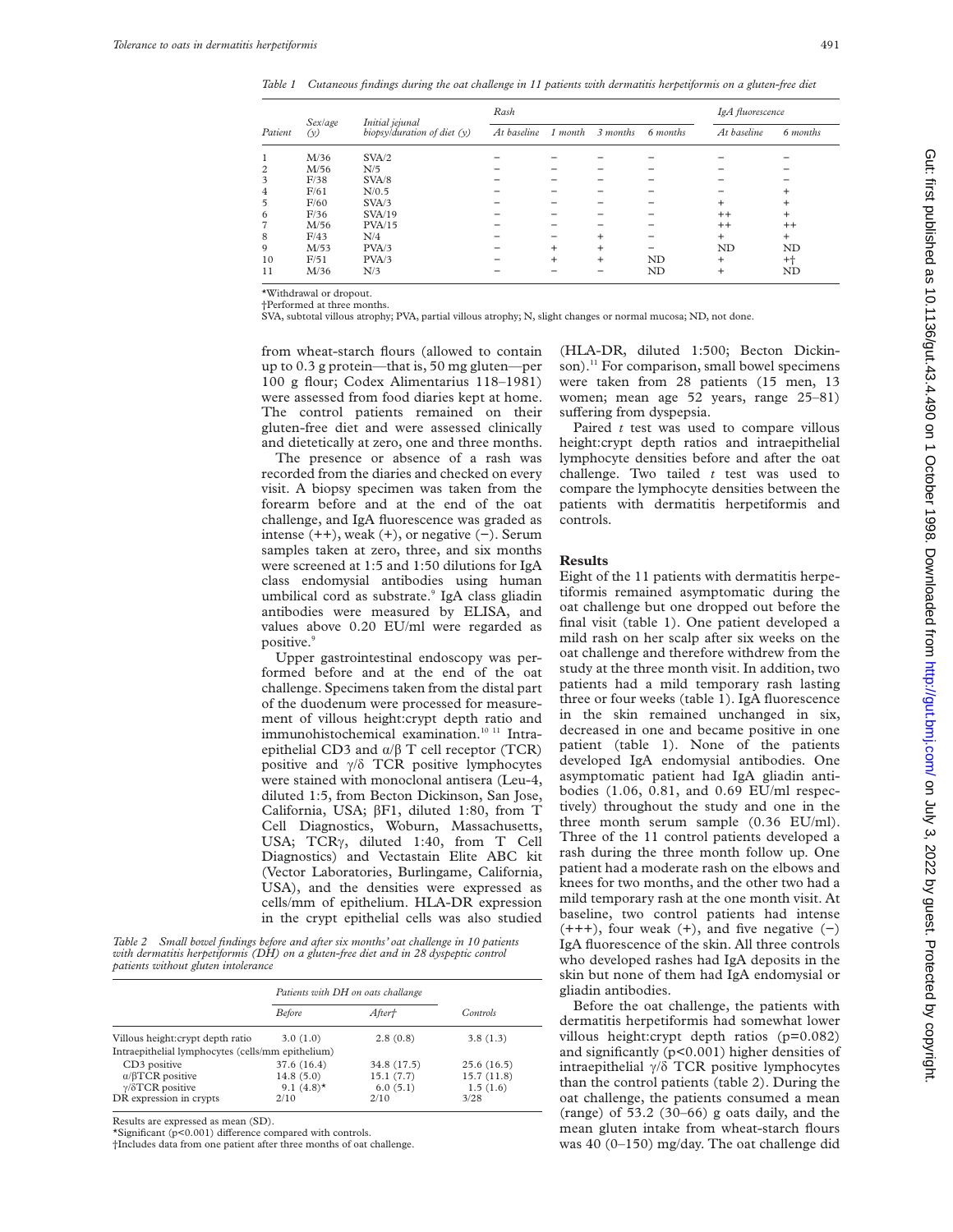*Table 1 Cutaneous findings during the oat challenge in 11 patients with dermatitis herpetiformis on a gluten-free diet*

| Patient        | <i>Sexlage</i><br>(y) | Initial jejunal<br>biopsy/duration of diet $(y)$ | Rash        |           |           |           | IgA fluorescence |                 |
|----------------|-----------------------|--------------------------------------------------|-------------|-----------|-----------|-----------|------------------|-----------------|
|                |                       |                                                  | At baseline | 1 month   | 3 months  | 6 months  | At baseline      | 6 months        |
|                | M/36                  | SVA/2                                            |             |           |           |           |                  |                 |
| 2              | M/56                  | N/5                                              |             |           |           |           |                  |                 |
| 3              | F/38                  | SVA/8                                            |             |           |           |           |                  |                 |
| 4              | F/61                  | N/0.5                                            |             |           |           |           |                  | $\ddot{}$       |
| 5              | F/60                  | SVA/3                                            |             |           |           |           | $\ddot{}$        | $\ddot{}$       |
| 6              | F/36                  | SVA/19                                           |             |           |           |           | $^{++}$          | $\ddot{}$       |
| $\overline{7}$ | M/56                  | PVA/15                                           |             |           |           |           | $^{++}$          | $^{++}$         |
| 8              | F/43                  | N/4                                              |             |           | $\div$    |           | $\ddot{}$        | $\ddot{}$       |
| 9              | M/53                  | PVA/3                                            |             | $\ddot{}$ | $\ddot{}$ |           | ND               | ND              |
| 10             | F/51                  | PVA/3                                            |             | $\ddot{}$ | $\ddot{}$ | <b>ND</b> | $\ddot{}$        | $^{\mathrm{+}}$ |
| 11             | M/36                  | N/3                                              |             |           |           | <b>ND</b> | $\ddot{}$        | ND              |

\*Withdrawal or dropout.

†Performed at three months.

SVA, subtotal villous atrophy; PVA, partial villous atrophy; N, slight changes or normal mucosa; ND, not done.

from wheat-starch flours (allowed to contain up to 0.3 g protein—that is, 50 mg gluten—per 100 g flour; Codex Alimentarius 118–1981) were assessed from food diaries kept at home. The control patients remained on their gluten-free diet and were assessed clinically and dietetically at zero, one and three months.

The presence or absence of a rash was recorded from the diaries and checked on every visit. A biopsy specimen was taken from the forearm before and at the end of the oat challenge, and IgA fluorescence was graded as intense (++), weak (+), or negative (−). Serum samples taken at zero, three, and six months were screened at 1:5 and 1:50 dilutions for IgA class endomysial antibodies using human umbilical cord as substrate.<sup>9</sup> IgA class gliadin antibodies were measured by ELISA, and values above 0.20 EU/ml were regarded as positive.<sup>9</sup>

Upper gastrointestinal endoscopy was performed before and at the end of the oat challenge. Specimens taken from the distal part of the duodenum were processed for measurement of villous height:crypt depth ratio and immunohistochemical examination.<sup>10 11</sup> Intraepithelial CD3 and  $\alpha/\beta$  T cell receptor (TCR) positive and  $\gamma/\delta$  TCR positive lymphocytes were stained with monoclonal antisera (Leu-4, diluted 1:5, from Becton Dickinson, San Jose, California, USA; âF1, diluted 1:80, from T Cell Diagnostics, Woburn, Massachusetts, USA; TCRy, diluted 1:40, from T Cell Diagnostics) and Vectastain Elite ABC kit (Vector Laboratories, Burlingame, California, USA), and the densities were expressed as cells/mm of epithelium. HLA-DR expression in the crypt epithelial cells was also studied

*Table 2 Small bowel findings before and after six months' oat challenge in 10 patients with dermatitis herpetiformis (DH) on a gluten-free diet and in 28 dyspeptic control patients without gluten intolerance*

|                                                                                                                | Patients with DH on oats challange                           |                                              |                                              |
|----------------------------------------------------------------------------------------------------------------|--------------------------------------------------------------|----------------------------------------------|----------------------------------------------|
|                                                                                                                | <b>Before</b>                                                | After†                                       | <b>Controls</b>                              |
| Villous height: crypt depth ratio                                                                              | 3.0(1.0)                                                     | 2.8(0.8)                                     | 3.8(1.3)                                     |
| Intraepithelial lymphocytes (cells/mm epithelium)                                                              |                                                              |                                              |                                              |
| CD3 positive<br>$\alpha$ / $\beta$ TCR positive<br>$\gamma$ / $\delta$ TCR positive<br>DR expression in crypts | 37.6 (16.4)<br>14.8(5.0)<br>9.1 $(4.8)$ <sup>*</sup><br>2/10 | 34.8 (17.5)<br>15.1(7.7)<br>6.0(5.1)<br>2/10 | 25.6(16.5)<br>15.7(11.8)<br>1.5(1.6)<br>3/28 |

Results are expressed as mean (SD).

 $*$ Significant (p<0.001) difference compared with controls

†Includes data from one patient after three months of oat challenge.

(HLA-DR, diluted 1:500; Becton Dickinson).<sup>11</sup> For comparison, small bowel specimens were taken from 28 patients (15 men, 13 women; mean age 52 years, range 25–81) suffering from dyspepsia.

Paired *t* test was used to compare villous height:crypt depth ratios and intraepithelial lymphocyte densities before and after the oat challenge. Two tailed *t* test was used to compare the lymphocyte densities between the patients with dermatitis herpetiformis and controls.

## **Results**

Eight of the 11 patients with dermatitis herpetiformis remained asymptomatic during the oat challenge but one dropped out before the final visit (table 1). One patient developed a mild rash on her scalp after six weeks on the oat challenge and therefore withdrew from the study at the three month visit. In addition, two patients had a mild temporary rash lasting three or four weeks (table 1). IgA fluorescence in the skin remained unchanged in six, decreased in one and became positive in one patient (table 1). None of the patients developed IgA endomysial antibodies. One asymptomatic patient had IgA gliadin antibodies (1.06, 0.81, and 0.69 EU/ml respectively) throughout the study and one in the three month serum sample (0.36 EU/ml). Three of the 11 control patients developed a rash during the three month follow up. One patient had a moderate rash on the elbows and knees for two months, and the other two had a mild temporary rash at the one month visit. At baseline, two control patients had intense (+++), four weak (+), and five negative (−) IgA fluorescence of the skin. All three controls who developed rashes had IgA deposits in the skin but none of them had IgA endomysial or gliadin antibodies.

Before the oat challenge, the patients with dermatitis herpetiformis had somewhat lower villous height:crypt depth ratios (p=0.082) and significantly (p<0.001) higher densities of intraepithelial  $\gamma/\delta$  TCR positive lymphocytes than the control patients (table 2). During the oat challenge, the patients consumed a mean (range) of 53.2 (30–66) g oats daily, and the mean gluten intake from wheat-starch flours was 40 (0–150) mg/day. The oat challenge did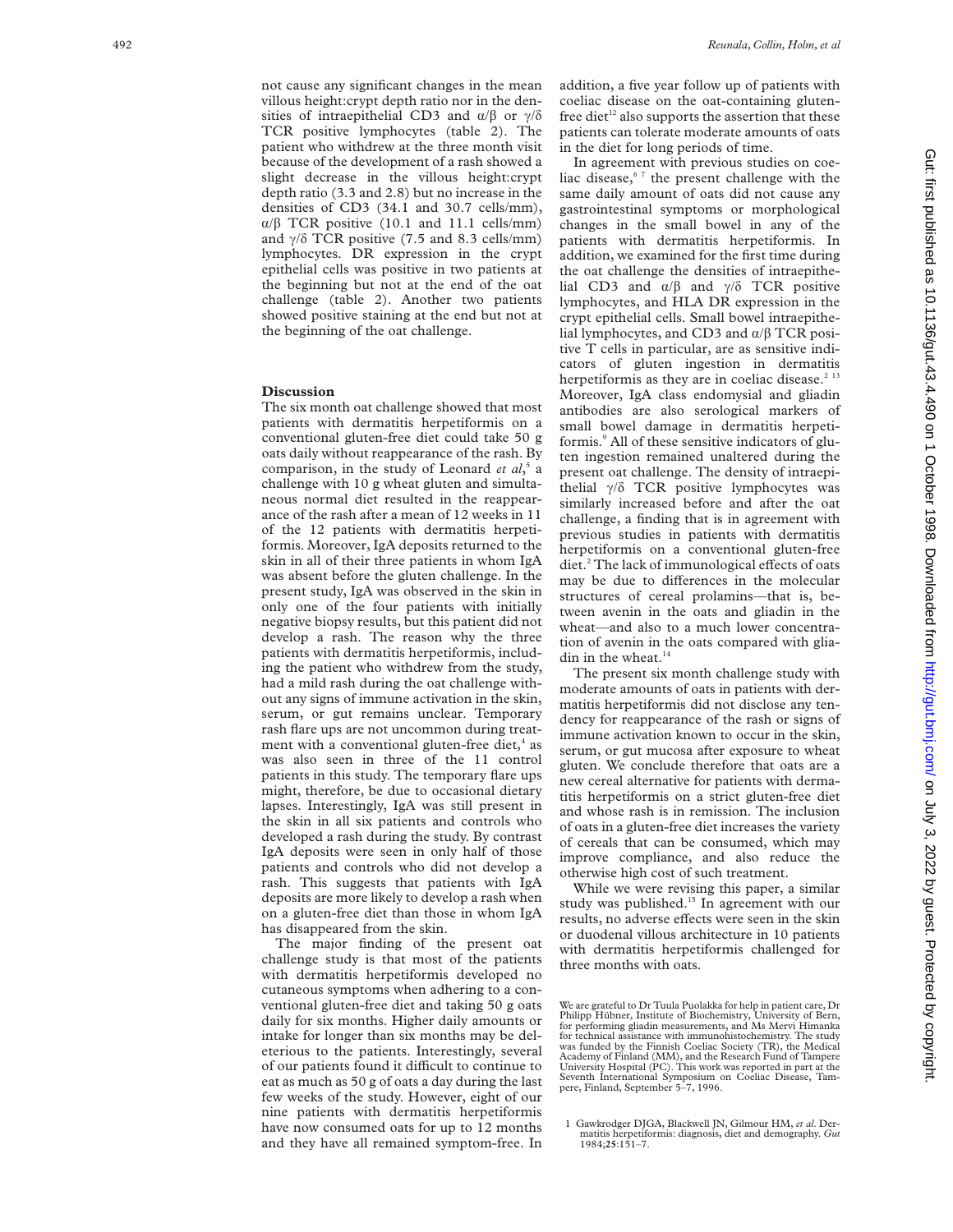not cause any significant changes in the mean villous height:crypt depth ratio nor in the densities of intraepithelial CD3 and  $\alpha/\beta$  or  $\gamma/\delta$ TCR positive lymphocytes (table 2). The patient who withdrew at the three month visit because of the development of a rash showed a slight decrease in the villous height:crypt depth ratio (3.3 and 2.8) but no increase in the densities of CD3 (34.1 and 30.7 cells/mm),  $\alpha/\beta$  TCR positive (10.1 and 11.1 cells/mm) and  $\gamma/\delta$  TCR positive (7.5 and 8.3 cells/mm) lymphocytes. DR expression in the crypt epithelial cells was positive in two patients at the beginning but not at the end of the oat challenge (table 2). Another two patients showed positive staining at the end but not at the beginning of the oat challenge.

### **Discussion**

The six month oat challenge showed that most patients with dermatitis herpetiformis on a conventional gluten-free diet could take 50 g oats daily without reappearance of the rash. By comparison, in the study of Leonard *et al*, 5 a challenge with 10 g wheat gluten and simultaneous normal diet resulted in the reappearance of the rash after a mean of 12 weeks in 11 of the 12 patients with dermatitis herpetiformis. Moreover, IgA deposits returned to the skin in all of their three patients in whom IgA was absent before the gluten challenge. In the present study, IgA was observed in the skin in only one of the four patients with initially negative biopsy results, but this patient did not develop a rash. The reason why the three patients with dermatitis herpetiformis, including the patient who withdrew from the study, had a mild rash during the oat challenge without any signs of immune activation in the skin, serum, or gut remains unclear. Temporary rash flare ups are not uncommon during treatment with a conventional gluten-free diet, $4$  as was also seen in three of the 11 control patients in this study. The temporary flare ups might, therefore, be due to occasional dietary lapses. Interestingly, IgA was still present in the skin in all six patients and controls who developed a rash during the study. By contrast IgA deposits were seen in only half of those patients and controls who did not develop a rash. This suggests that patients with IgA deposits are more likely to develop a rash when on a gluten-free diet than those in whom IgA has disappeared from the skin.

The major finding of the present oat challenge study is that most of the patients with dermatitis herpetiformis developed no cutaneous symptoms when adhering to a conventional gluten-free diet and taking 50 g oats daily for six months. Higher daily amounts or intake for longer than six months may be deleterious to the patients. Interestingly, several of our patients found it difficult to continue to eat as much as 50 g of oats a day during the last few weeks of the study. However, eight of our nine patients with dermatitis herpetiformis have now consumed oats for up to 12 months and they have all remained symptom-free. In

addition, a five year follow up of patients with coeliac disease on the oat-containing glutenfree diet<sup>12</sup> also supports the assertion that these patients can tolerate moderate amounts of oats in the diet for long periods of time.

In agreement with previous studies on coeliac disease,<sup>67</sup> the present challenge with the same daily amount of oats did not cause any gastrointestinal symptoms or morphological changes in the small bowel in any of the patients with dermatitis herpetiformis. In addition, we examined for the first time during the oat challenge the densities of intraepithelial CD3 and  $\alpha/\beta$  and  $\gamma/\delta$  TCR positive lymphocytes, and HLA DR expression in the crypt epithelial cells. Small bowel intraepithelial lymphocytes, and CD3 and  $\alpha/\beta$  TCR positive T cells in particular, are as sensitive indicators of gluten ingestion in dermatitis herpetiformis as they are in coeliac disease. $2^{13}$ Moreover, IgA class endomysial and gliadin antibodies are also serological markers of small bowel damage in dermatitis herpetiformis.<sup>9</sup> All of these sensitive indicators of gluten ingestion remained unaltered during the present oat challenge. The density of intraepithelial  $\gamma/\delta$  TCR positive lymphocytes was similarly increased before and after the oat challenge, a finding that is in agreement with previous studies in patients with dermatitis herpetiformis on a conventional gluten-free diet.<sup>2</sup> The lack of immunological effects of oats may be due to differences in the molecular structures of cereal prolamins—that is, between avenin in the oats and gliadin in the wheat—and also to a much lower concentration of avenin in the oats compared with gliadin in the wheat. $14$ 

The present six month challenge study with moderate amounts of oats in patients with dermatitis herpetiformis did not disclose any tendency for reappearance of the rash or signs of immune activation known to occur in the skin, serum, or gut mucosa after exposure to wheat gluten. We conclude therefore that oats are a new cereal alternative for patients with dermatitis herpetiformis on a strict gluten-free diet and whose rash is in remission. The inclusion of oats in a gluten-free diet increases the variety of cereals that can be consumed, which may improve compliance, and also reduce the otherwise high cost of such treatment.

While we were revising this paper, a similar study was published.15 In agreement with our results, no adverse effects were seen in the skin or duodenal villous architecture in 10 patients with dermatitis herpetiformis challenged for three months with oats.

1 Gawkrodger DJGA, Blackwell JN, Gilmour HM, *et al*. Dermatitis herpetiformis: diagnosis, diet and demography. *Gut* 1984;**25**:151–7.

We are grateful to Dr Tuula Puolakka for help in patient care, Dr Philipp Hübner, Institute of Biochemistry, University of Bern, for performing gliadin measurements, and Ms Mervi Himanka for technical assistance with immunohistochemistry. The study was funded by the Finnish Coeliac Society (TR), the Medical Academy of Finland (MM), and the Research Fund of Tampere University Hospital (PC). This work was reported in part at the Seventh International Symposium on Coeliac Disease, Tam-pere, Finland, September 5–7, 1996.